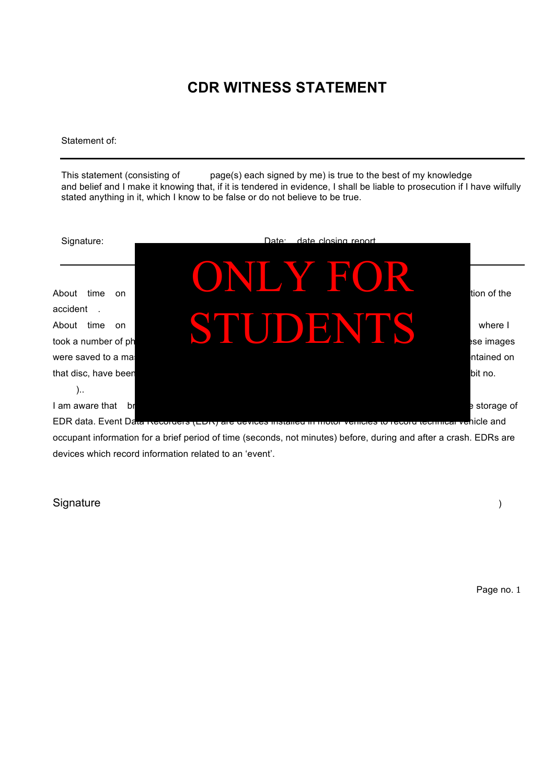# **CDR WITNESS STATEMENT**

Statement of:

This statement (consisting of page(s) each signed by me) is true to the best of my knowledge and belief and I make it knowing that, if it is tendered in evidence, I shall be liable to prosecution if I have wilfully stated anything in it, which I know to be false or do not believe to be true.



occupant information for a brief period of time (seconds, not minutes) before, during and after a crash. EDRs are devices which record information related to an 'event'.

#### Signature (1) and the state of the state of the state of the state of the state of the state of the state of the state of the state of the state of the state of the state of the state of the state of the state of the state

Page no. 1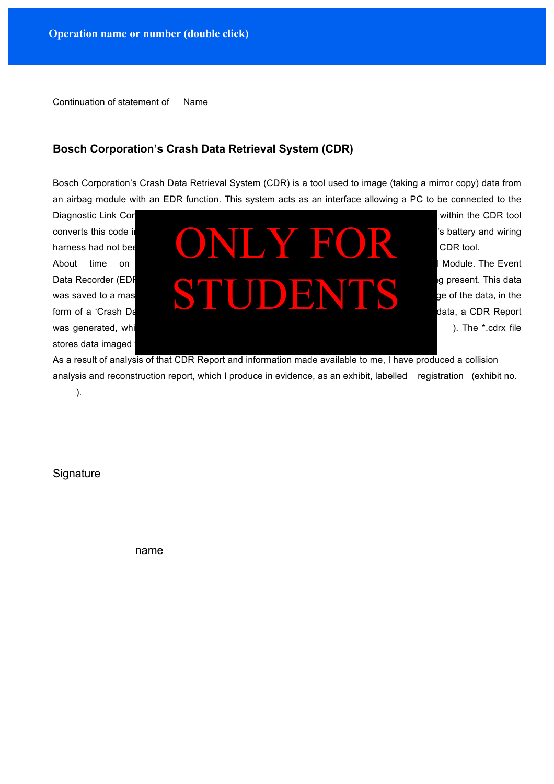Continuation of statement of Name

#### **Bosch Corporation's Crash Data Retrieval System (CDR)**

Bosch Corporation's Crash Data Retrieval System (CDR) is a tool used to image (taking a mirror copy) data from an airbag module with an EDR function. This system acts as an interface allowing a PC to be connected to the

stores data imaged



As a result of analysis of that CDR Report and information made available to me, I have produced a collision analysis and reconstruction report, which I produce in evidence, as an exhibit, labelled registration (exhibit no.

).

**Signature** 

name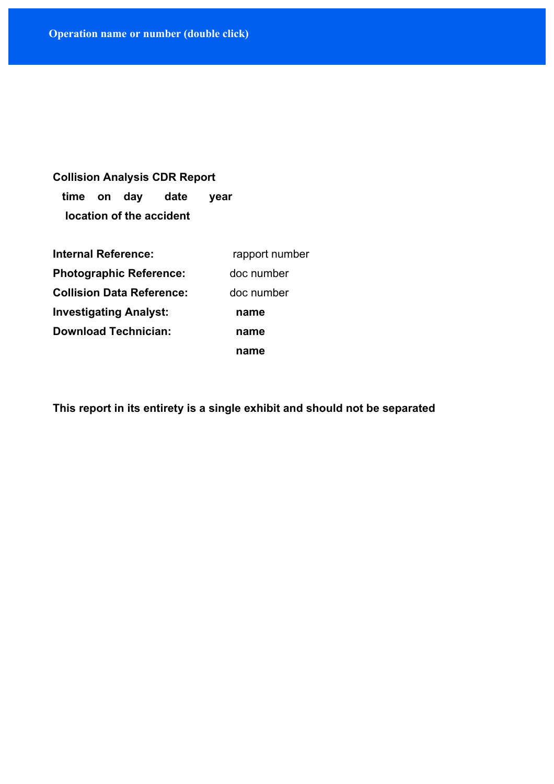# **Collision Analysis CDR Report time on day date year location of the accident**

| <b>Internal Reference:</b>       | rapport number |  |
|----------------------------------|----------------|--|
| <b>Photographic Reference:</b>   | doc number     |  |
| <b>Collision Data Reference:</b> | doc number     |  |
| <b>Investigating Analyst:</b>    | name           |  |
| <b>Download Technician:</b>      | name           |  |
|                                  | name           |  |

**This report in its entirety is a single exhibit and should not be separated**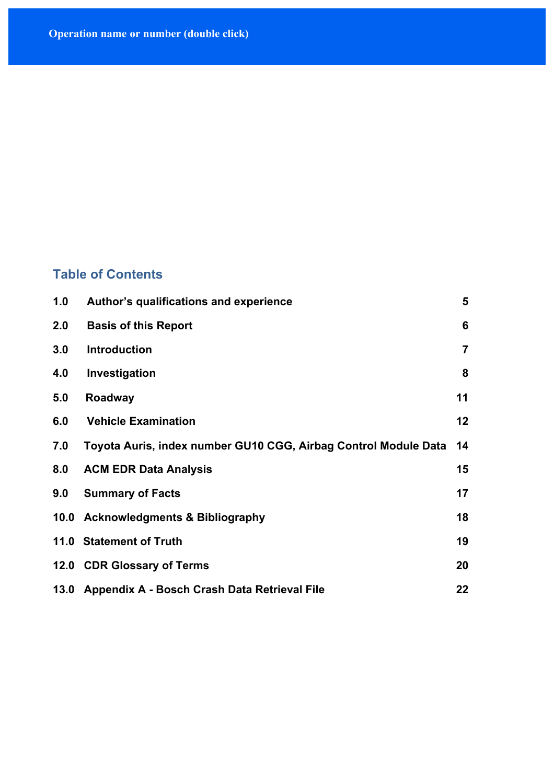## **Table of Contents**

| 1.0 | Author's qualifications and experience                          | 5              |
|-----|-----------------------------------------------------------------|----------------|
| 2.0 | <b>Basis of this Report</b>                                     | 6              |
| 3.0 | <b>Introduction</b>                                             | $\overline{7}$ |
| 4.0 | Investigation                                                   | 8              |
| 5.0 | Roadway                                                         | 11             |
| 6.0 | <b>Vehicle Examination</b>                                      | 12             |
| 7.0 | Toyota Auris, index number GU10 CGG, Airbag Control Module Data | 14             |
| 8.0 | <b>ACM EDR Data Analysis</b>                                    | 15             |
| 9.0 | <b>Summary of Facts</b>                                         | 17             |
|     | 10.0 Acknowledgments & Bibliography                             | 18             |
|     | 11.0 Statement of Truth                                         | 19             |
|     | 12.0 CDR Glossary of Terms                                      | 20             |
|     | 13.0 Appendix A - Bosch Crash Data Retrieval File               | 22             |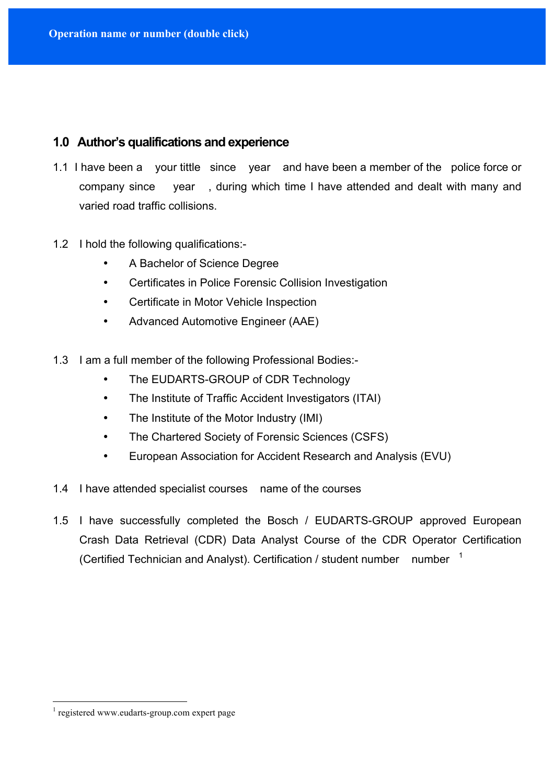### **1.0 Author's qualifications and experience**

- 1.1 I have been a your tittle since year and have been a member of the police force or company since year , during which time I have attended and dealt with many and varied road traffic collisions.
- 1.2 I hold the following qualifications:-
	- A Bachelor of Science Degree
	- Certificates in Police Forensic Collision Investigation
	- Certificate in Motor Vehicle Inspection
	- Advanced Automotive Engineer (AAE)
- 1.3 I am a full member of the following Professional Bodies:-
	- The EUDARTS-GROUP of CDR Technology
	- The Institute of Traffic Accident Investigators (ITAI)
	- The Institute of the Motor Industry (IMI)
	- The Chartered Society of Forensic Sciences (CSFS)
	- European Association for Accident Research and Analysis (EVU)
- 1.4 I have attended specialist courses name of the courses
- 1.5 I have successfully completed the Bosch / EUDARTS-GROUP approved European Crash Data Retrieval (CDR) Data Analyst Course of the CDR Operator Certification (Certified Technician and Analyst). Certification / student number number  $1$

 <sup>1</sup> registered www.eudarts-group.com expert page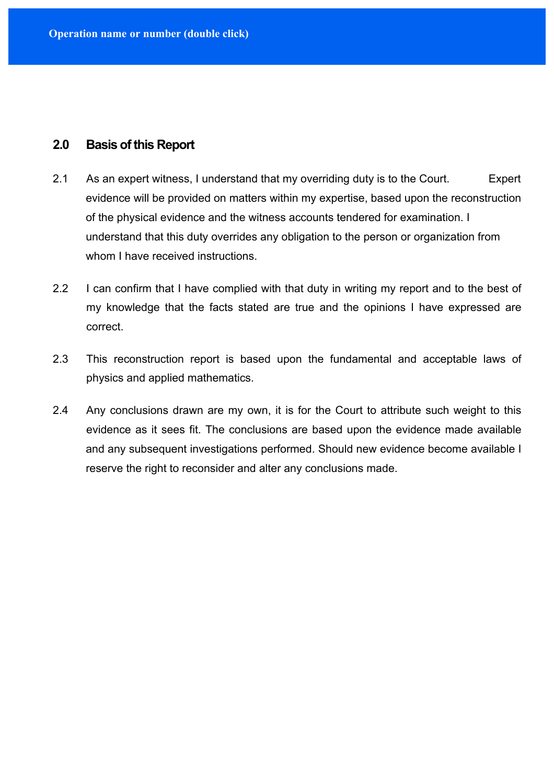#### **2.0 Basis of this Report**

- 2.1 As an expert witness, I understand that my overriding duty is to the Court. Expert evidence will be provided on matters within my expertise, based upon the reconstruction of the physical evidence and the witness accounts tendered for examination. I understand that this duty overrides any obligation to the person or organization from whom I have received instructions.
- 2.2 I can confirm that I have complied with that duty in writing my report and to the best of my knowledge that the facts stated are true and the opinions I have expressed are correct.
- 2.3 This reconstruction report is based upon the fundamental and acceptable laws of physics and applied mathematics.
- 2.4 Any conclusions drawn are my own, it is for the Court to attribute such weight to this evidence as it sees fit. The conclusions are based upon the evidence made available and any subsequent investigations performed. Should new evidence become available I reserve the right to reconsider and alter any conclusions made.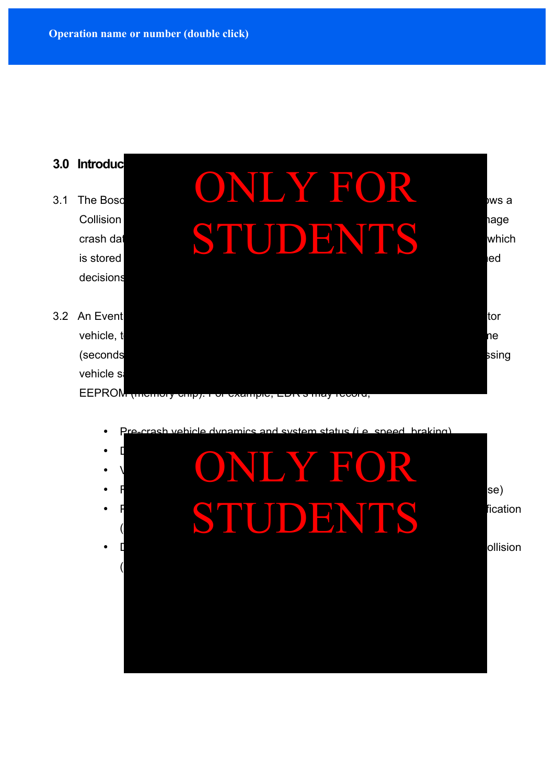



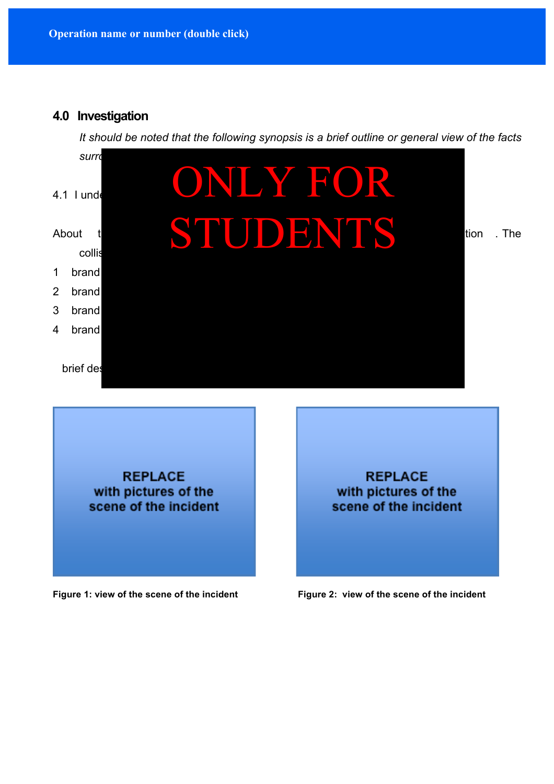#### **4.0 Investigation**

*It should be noted that the following synopsis is a brief outline or general view of the facts*



**REPLACE** with pictures of the scene of the incident

**REPLACE** with pictures of the scene of the incident

Figure 1: view of the scene of the incident **Figure 2: view of the scene of the incident**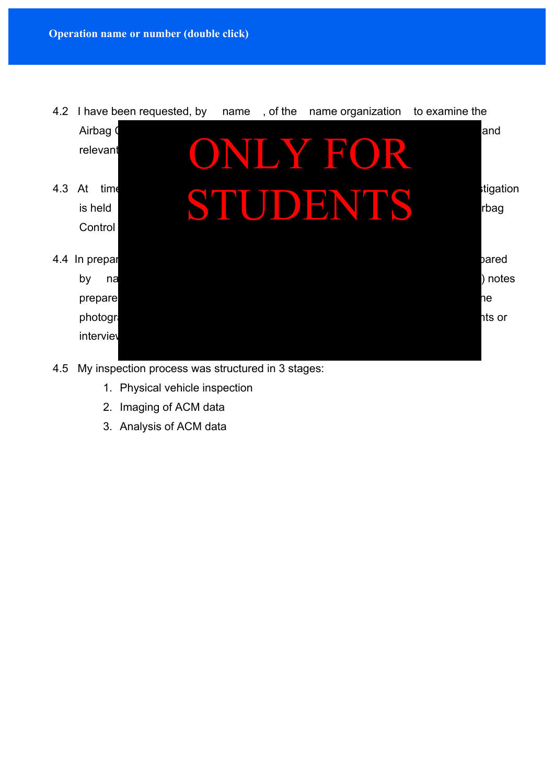

- 4.5 My inspection process was structured in 3 stages:
	- 1. Physical vehicle inspection
	- 2. Imaging of ACM data
	- 3. Analysis of ACM data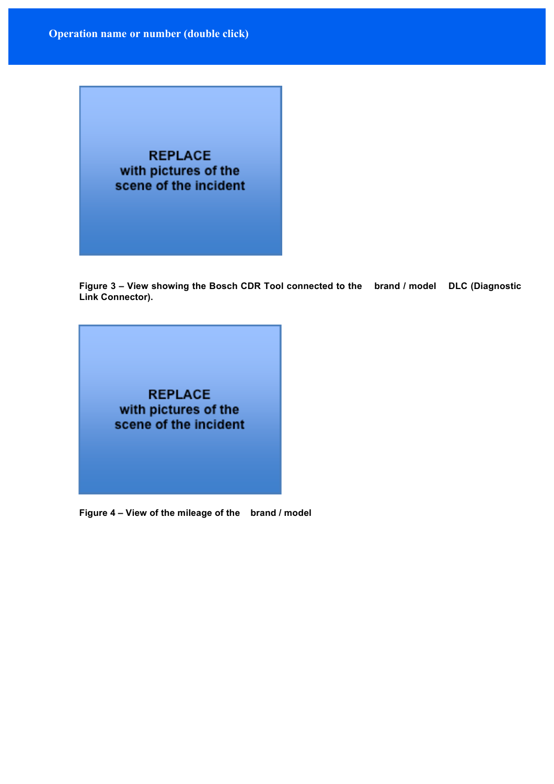

**Figure 3 – View showing the Bosch CDR Tool connected to the brand / model DLC (Diagnostic Link Connector).**



**Figure 4 – View of the mileage of the brand / model**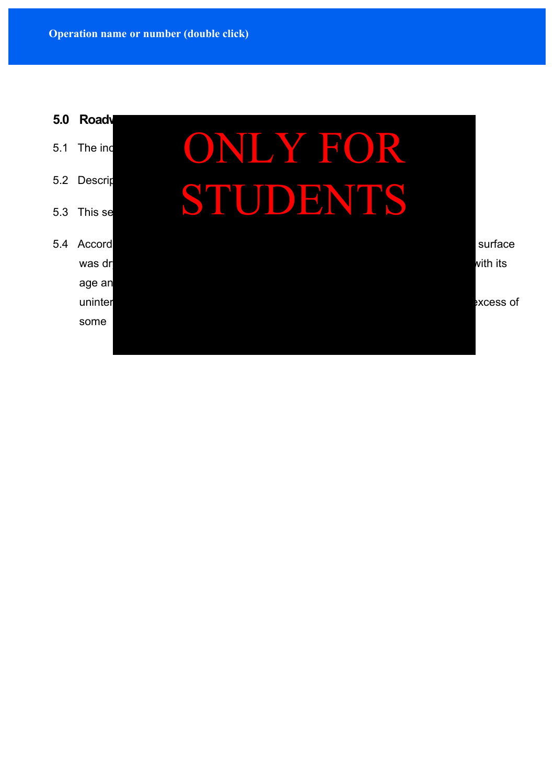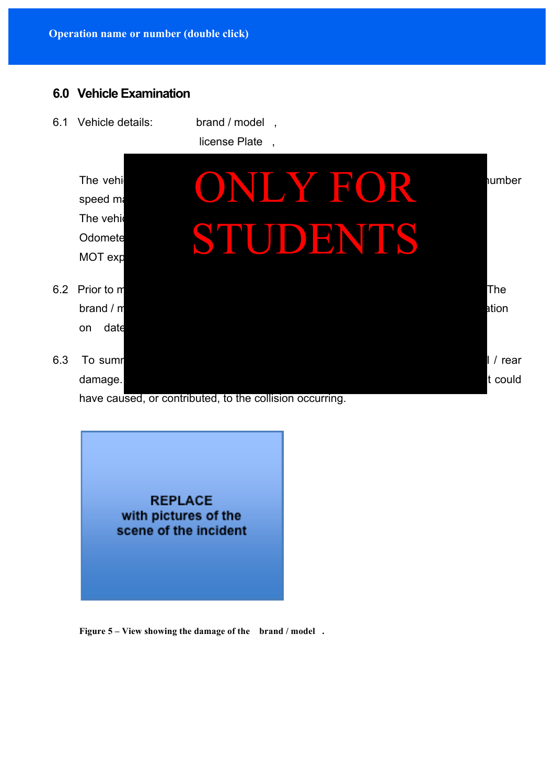### **6.0 Vehicle Examination**

6.1 Vehicle details: brand / model ,

license Plate ,



have caused, or contributed, to the collision occurring.

**REPLACE** with pictures of the scene of the incident

**Figure 5 – View showing the damage of the brand / model .**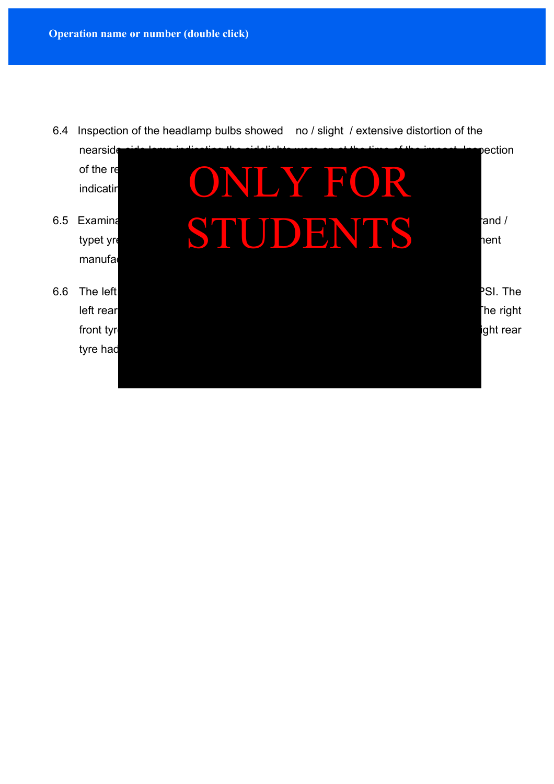

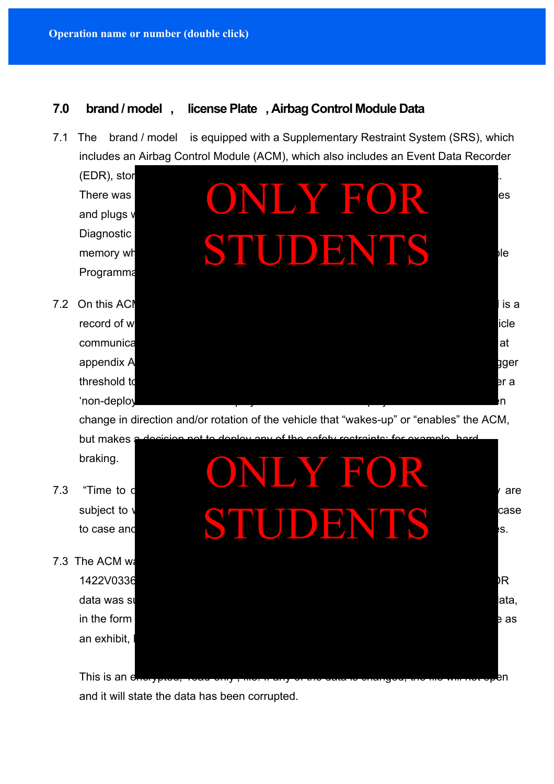### **7.0 brand / model , license Plate , Airbag Control Module Data**

- 7.1 The brand / model is equipped with a Supplementary Restraint System (SRS), which includes an Airbag Control Module (ACM), which also includes an Event Data Recorder
	- $(EDR)$ , stor Programma
	-



change in direction and/or rotation of the vehicle that "wakes-up" or "enables" the ACM,

but makes braking.

- 
- 7.3 The ACM was an exhibit.



This is an encrypted, year only, the filtery of the data is changed, the file will not open

and it will state the data has been corrupted.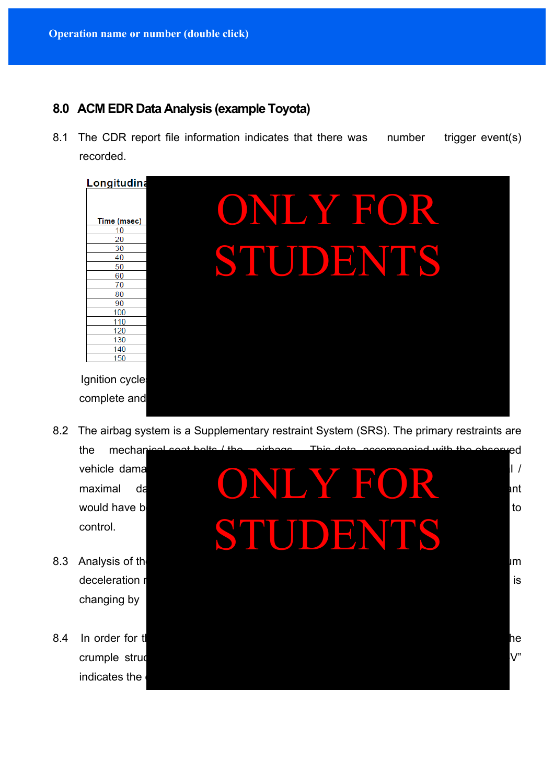### **8.0 ACM EDR Data Analysis (example Toyota)**

8.1 The CDR report file information indicates that there was number trigger event(s) recorded.



8.2 The airbag system is a Supplementary restraint System (SRS). The primary restraints are

control.

- changing by
- indicates the

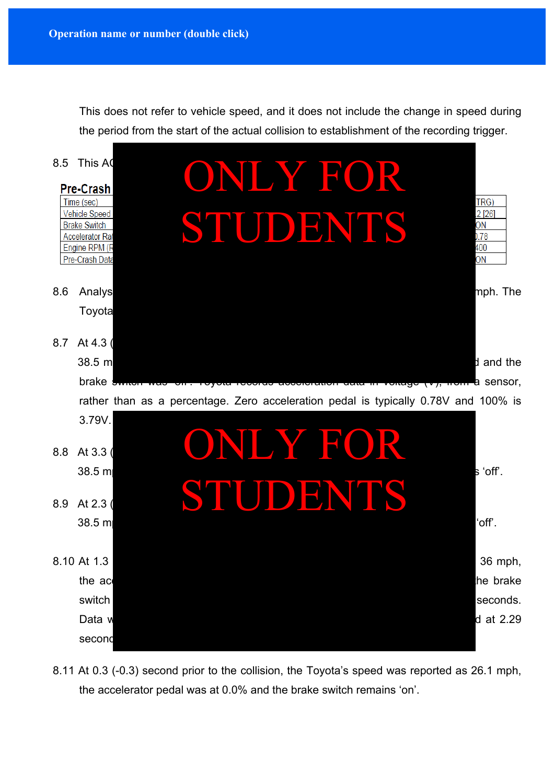This does not refer to vehicle speed, and it does not include the change in speed during the period from the start of the actual collision to establishment of the recording trigger.



8.11 At 0.3 (-0.3) second prior to the collision, the Toyota's speed was reported as 26.1 mph, the accelerator pedal was at 0.0% and the brake switch remains 'on'.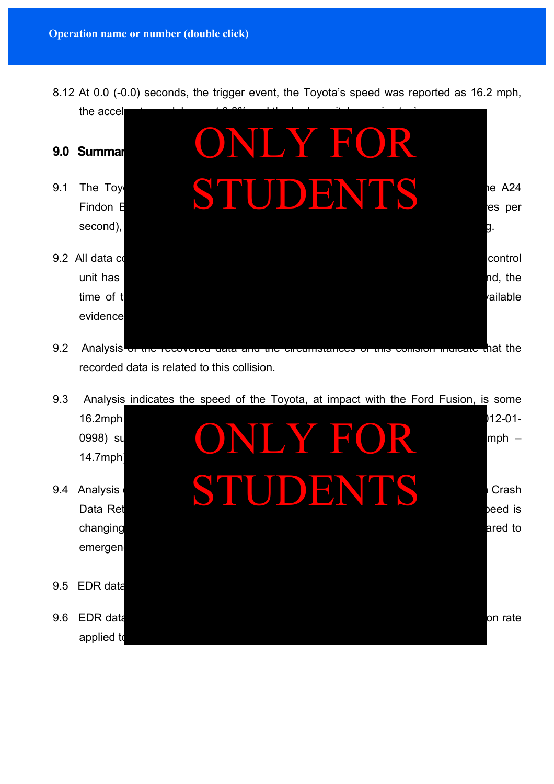8.12 At 0.0 (-0.0) seconds, the trigger event, the Toyota's speed was reported as 16.2 mph,



recorded data is related to this collision.

9.3 Analysis indicates the speed of the Toyota, at impact with the Ford Fusion, is some

|     | 16.2mph<br>0998) su<br>14.7mph              | INI Y FOR | $12 - 01 -$<br>$mph -$      |
|-----|---------------------------------------------|-----------|-----------------------------|
| 9.4 | Analysis<br>Data Ret<br>changing<br>emergen | JDENTS    | Crash<br>beed is<br>ared to |
| 9.5 | EDR data                                    |           |                             |
| 9.6 | <b>EDR</b> data<br>applied to               |           | on rate                     |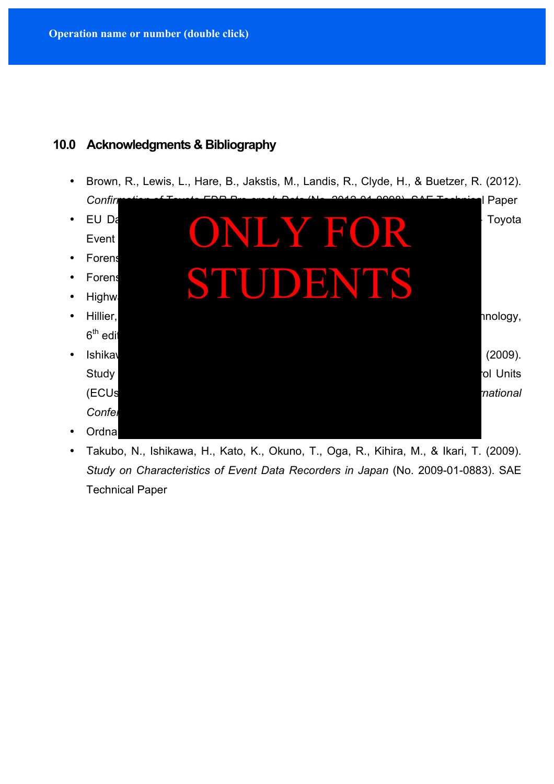### **10.0 Acknowledgments & Bibliography**

- Brown, R., Lewis, L., Hare, B., Jakstis, M., Landis, R., Clyde, H., & Buetzer, R. (2012).
- 
- 
- 
- 
- $6<sup>th</sup>$  edit
	-
- *Confirmation of Toyota EDR Pre-crash Data* (No. 2012-01-0998). SAE Technical Paper • EU Da $\bullet$  Crash Data Retrieval System Course Manual (2014) (Chapter 8 – Toyota Event Data Recorders in Traffic Accident Recorders in Traffic Accident Reconstruction (1990) • Forensi $\bullet$  Forensic Accident Investigation Manual (version 9),  $\bullet$  9), Metropolitan Police Police Police Police Police Police Police Police Police Police Police Police Police Police Police Police Police Police Police • Forensic Science Service (no author), The Scenes of Crime Handbook (2004) • Forens STUDENTS • Hillier, **V.A.W., A.W., & Nelson Thornes., (2012). Fundamentals of Motor Vehicle Technology,** • Ishikaw $\blacksquare$  (2009). Study on Pre-Crash and Post-Crash and Post-Crash information Recorded in Electronic Control Units (ECUs) including Event Data Recorders. In *Proceedings of the 19th International Conference on the Enhanced Safety of Vehicles* **(pp. 09-0375) of Vehicles (pp. 09-0375) of Vehicles (pp. 09-0375) of Vehicles** • Ordnan ONLY FOR
- Takubo, N., Ishikawa, H., Kato, K., Okuno, T., Oga, R., Kihira, M., & Ikari, T. (2009). *Study on Characteristics of Event Data Recorders in Japan* (No. 2009-01-0883). SAE Technical Paper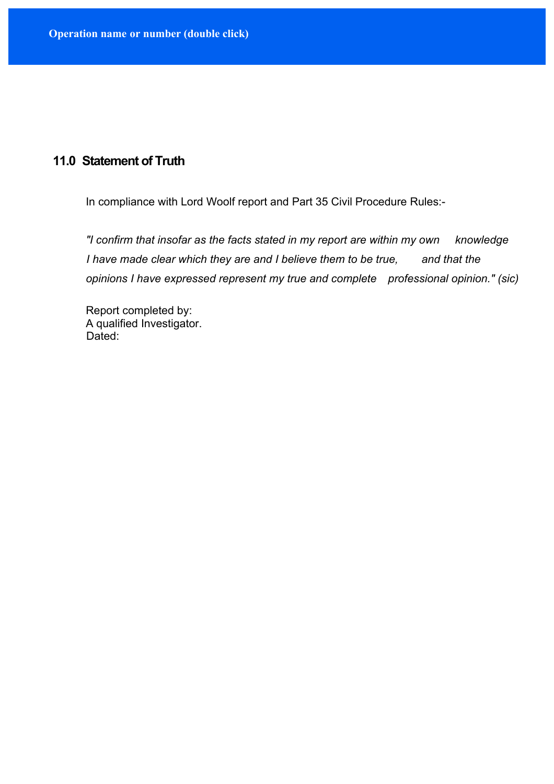## **11.0 Statement of Truth**

In compliance with Lord Woolf report and Part 35 Civil Procedure Rules:-

*"I confirm that insofar as the facts stated in my report are within my own knowledge I have made clear which they are and I believe them to be true, and that the opinions I have expressed represent my true and complete professional opinion." (sic)*

Report completed by: A qualified Investigator. Dated: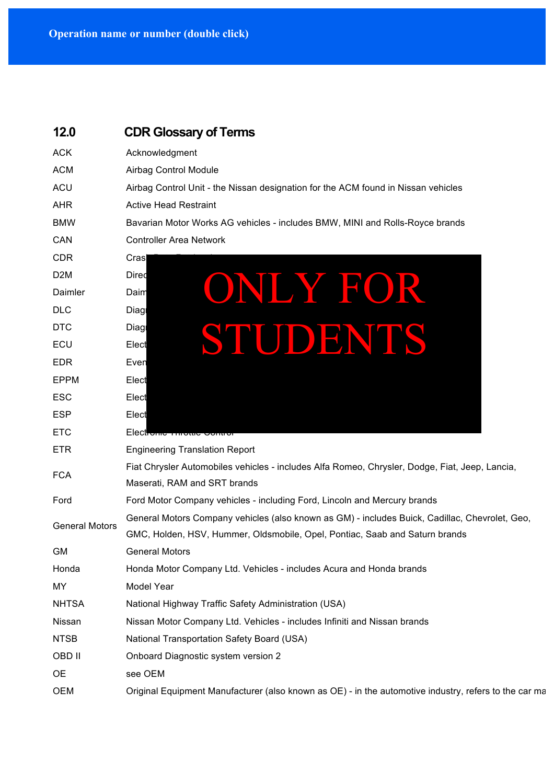| 12.0                  | <b>CDR Glossary of Terms</b>                                                                                                                                                  |
|-----------------------|-------------------------------------------------------------------------------------------------------------------------------------------------------------------------------|
| <b>ACK</b>            | Acknowledgment                                                                                                                                                                |
| <b>ACM</b>            | Airbag Control Module                                                                                                                                                         |
| <b>ACU</b>            | Airbag Control Unit - the Nissan designation for the ACM found in Nissan vehicles                                                                                             |
| <b>AHR</b>            | <b>Active Head Restraint</b>                                                                                                                                                  |
| <b>BMW</b>            | Bavarian Motor Works AG vehicles - includes BMW, MINI and Rolls-Royce brands                                                                                                  |
| CAN                   | <b>Controller Area Network</b>                                                                                                                                                |
| <b>CDR</b>            | Cras                                                                                                                                                                          |
| D <sub>2</sub> M      | Dired                                                                                                                                                                         |
| Daimler               | ONLY FOR<br>Daim                                                                                                                                                              |
| <b>DLC</b>            | Diagl                                                                                                                                                                         |
| <b>DTC</b>            | Diagl                                                                                                                                                                         |
| ECU                   | STUDENTS<br>Elect                                                                                                                                                             |
| <b>EDR</b>            | Even                                                                                                                                                                          |
| <b>EPPM</b>           | Elect                                                                                                                                                                         |
| <b>ESC</b>            | Elect                                                                                                                                                                         |
| <b>ESP</b>            | Elect                                                                                                                                                                         |
| <b>ETC</b>            | Electronic milotuc comm                                                                                                                                                       |
| <b>ETR</b>            | <b>Engineering Translation Report</b>                                                                                                                                         |
| <b>FCA</b>            | Fiat Chrysler Automobiles vehicles - includes Alfa Romeo, Chrysler, Dodge, Fiat, Jeep, Lancia,<br>Maserati, RAM and SRT brands                                                |
| Ford                  | Ford Motor Company vehicles - including Ford, Lincoln and Mercury brands                                                                                                      |
| <b>General Motors</b> | General Motors Company vehicles (also known as GM) - includes Buick, Cadillac, Chevrolet, Geo,<br>GMC, Holden, HSV, Hummer, Oldsmobile, Opel, Pontiac, Saab and Saturn brands |
| <b>GM</b>             | <b>General Motors</b>                                                                                                                                                         |
| Honda                 | Honda Motor Company Ltd. Vehicles - includes Acura and Honda brands                                                                                                           |
| MY                    | Model Year                                                                                                                                                                    |
| <b>NHTSA</b>          | National Highway Traffic Safety Administration (USA)                                                                                                                          |
| Nissan                | Nissan Motor Company Ltd. Vehicles - includes Infiniti and Nissan brands                                                                                                      |
| <b>NTSB</b>           | National Transportation Safety Board (USA)                                                                                                                                    |
| <b>OBD II</b>         | Onboard Diagnostic system version 2                                                                                                                                           |
| <b>OE</b>             | see OEM                                                                                                                                                                       |
| <b>OEM</b>            | Original Equipment Manufacturer (also known as OE) - in the automotive industry, refers to the car ma                                                                         |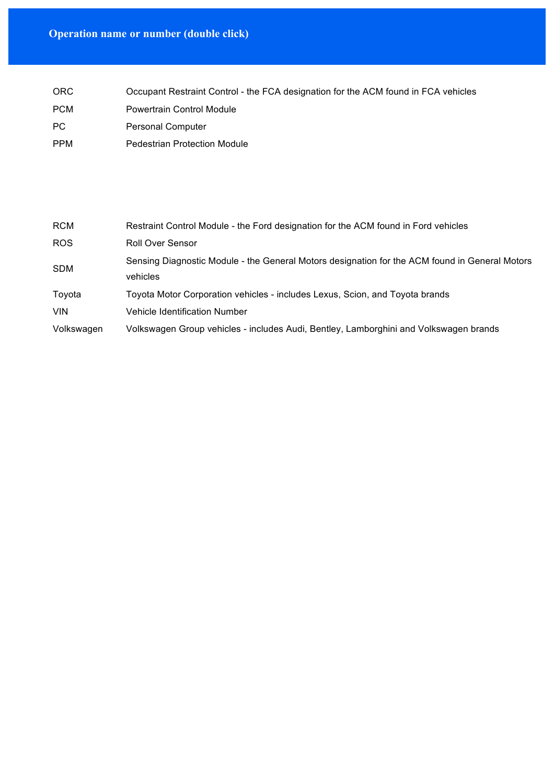# **Operation name or number (double click)**

| <b>ORC</b> | Occupant Restraint Control - the FCA designation for the ACM found in FCA vehicles |
|------------|------------------------------------------------------------------------------------|
| <b>PCM</b> | <b>Powertrain Control Module</b>                                                   |
| PC.        | <b>Personal Computer</b>                                                           |
| <b>PPM</b> | <b>Pedestrian Protection Module</b>                                                |

| <b>RCM</b> | Restraint Control Module - the Ford designation for the ACM found in Ford vehicles                         |
|------------|------------------------------------------------------------------------------------------------------------|
| ROS.       | Roll Over Sensor                                                                                           |
| <b>SDM</b> | Sensing Diagnostic Module - the General Motors designation for the ACM found in General Motors<br>vehicles |
| Toyota     | Toyota Motor Corporation vehicles - includes Lexus, Scion, and Toyota brands                               |
| <b>VIN</b> | Vehicle Identification Number                                                                              |
| Volkswagen | Volkswagen Group vehicles - includes Audi, Bentley, Lamborghini and Volkswagen brands                      |